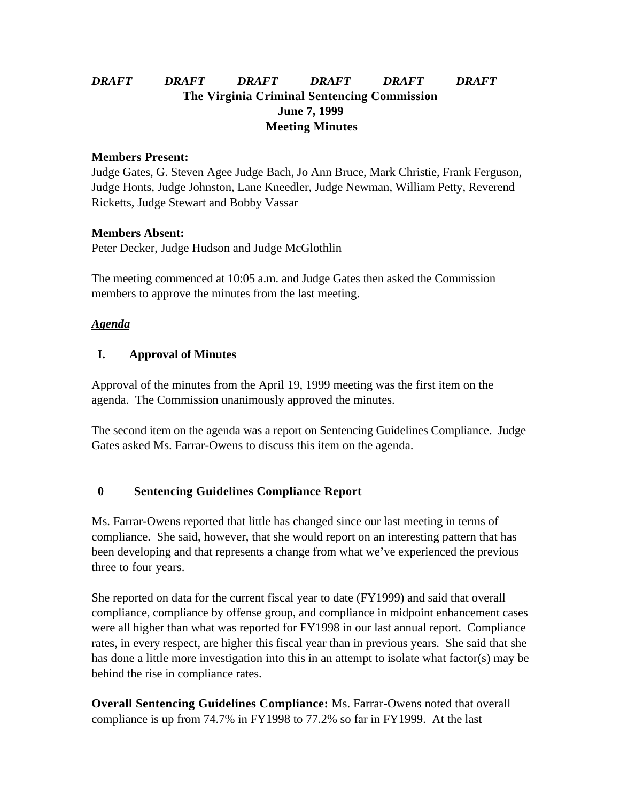# *DRAFT DRAFT DRAFT DRAFT DRAFT DRAFT* **The Virginia Criminal Sentencing Commission June 7, 1999 Meeting Minutes**

#### **Members Present:**

Judge Gates, G. Steven Agee Judge Bach, Jo Ann Bruce, Mark Christie, Frank Ferguson, Judge Honts, Judge Johnston, Lane Kneedler, Judge Newman, William Petty, Reverend Ricketts, Judge Stewart and Bobby Vassar

### **Members Absent:**

Peter Decker, Judge Hudson and Judge McGlothlin

The meeting commenced at 10:05 a.m. and Judge Gates then asked the Commission members to approve the minutes from the last meeting.

## *Agenda*

## **I. Approval of Minutes**

Approval of the minutes from the April 19, 1999 meeting was the first item on the agenda. The Commission unanimously approved the minutes.

The second item on the agenda was a report on Sentencing Guidelines Compliance. Judge Gates asked Ms. Farrar-Owens to discuss this item on the agenda.

## **0 Sentencing Guidelines Compliance Report**

Ms. Farrar-Owens reported that little has changed since our last meeting in terms of compliance. She said, however, that she would report on an interesting pattern that has been developing and that represents a change from what we've experienced the previous three to four years.

She reported on data for the current fiscal year to date (FY1999) and said that overall compliance, compliance by offense group, and compliance in midpoint enhancement cases were all higher than what was reported for FY1998 in our last annual report. Compliance rates, in every respect, are higher this fiscal year than in previous years. She said that she has done a little more investigation into this in an attempt to isolate what factor(s) may be behind the rise in compliance rates.

**Overall Sentencing Guidelines Compliance:** Ms. Farrar-Owens noted that overall compliance is up from 74.7% in FY1998 to 77.2% so far in FY1999. At the last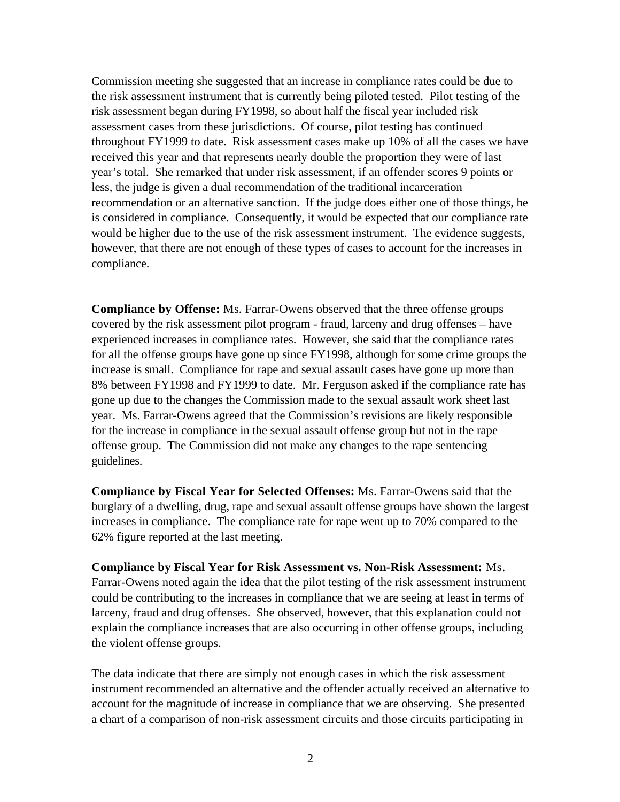Commission meeting she suggested that an increase in compliance rates could be due to the risk assessment instrument that is currently being piloted tested. Pilot testing of the risk assessment began during FY1998, so about half the fiscal year included risk assessment cases from these jurisdictions. Of course, pilot testing has continued throughout FY1999 to date. Risk assessment cases make up 10% of all the cases we have received this year and that represents nearly double the proportion they were of last year's total. She remarked that under risk assessment, if an offender scores 9 points or less, the judge is given a dual recommendation of the traditional incarceration recommendation or an alternative sanction. If the judge does either one of those things, he is considered in compliance. Consequently, it would be expected that our compliance rate would be higher due to the use of the risk assessment instrument. The evidence suggests, however, that there are not enough of these types of cases to account for the increases in compliance.

**Compliance by Offense:** Ms. Farrar-Owens observed that the three offense groups covered by the risk assessment pilot program - fraud, larceny and drug offenses – have experienced increases in compliance rates. However, she said that the compliance rates for all the offense groups have gone up since FY1998, although for some crime groups the increase is small. Compliance for rape and sexual assault cases have gone up more than 8% between FY1998 and FY1999 to date. Mr. Ferguson asked if the compliance rate has gone up due to the changes the Commission made to the sexual assault work sheet last year. Ms. Farrar-Owens agreed that the Commission's revisions are likely responsible for the increase in compliance in the sexual assault offense group but not in the rape offense group. The Commission did not make any changes to the rape sentencing guidelines.

**Compliance by Fiscal Year for Selected Offenses:** Ms. Farrar-Owens said that the burglary of a dwelling, drug, rape and sexual assault offense groups have shown the largest increases in compliance. The compliance rate for rape went up to 70% compared to the 62% figure reported at the last meeting.

**Compliance by Fiscal Year for Risk Assessment vs. Non-Risk Assessment:** Ms. Farrar-Owens noted again the idea that the pilot testing of the risk assessment instrument could be contributing to the increases in compliance that we are seeing at least in terms of larceny, fraud and drug offenses. She observed, however, that this explanation could not explain the compliance increases that are also occurring in other offense groups, including the violent offense groups.

The data indicate that there are simply not enough cases in which the risk assessment instrument recommended an alternative and the offender actually received an alternative to account for the magnitude of increase in compliance that we are observing. She presented a chart of a comparison of non-risk assessment circuits and those circuits participating in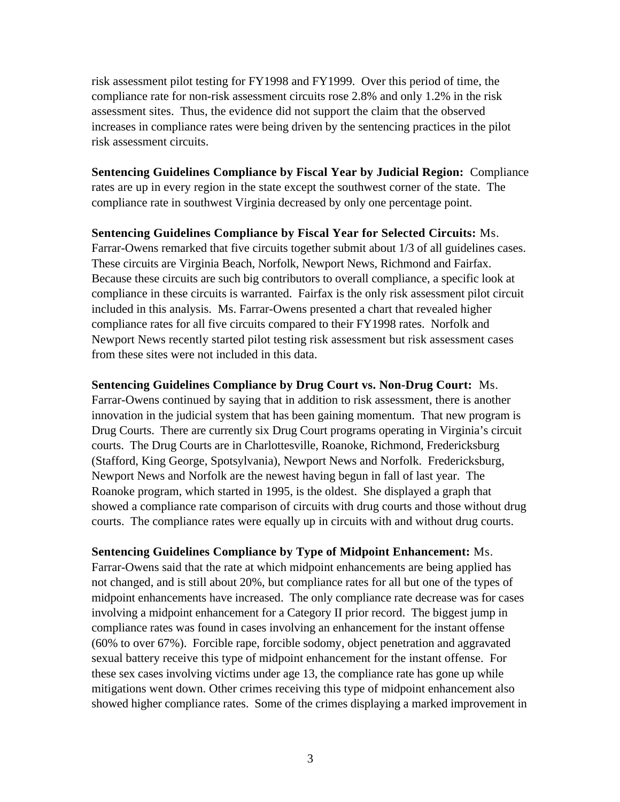risk assessment pilot testing for FY1998 and FY1999. Over this period of time, the compliance rate for non-risk assessment circuits rose 2.8% and only 1.2% in the risk assessment sites. Thus, the evidence did not support the claim that the observed increases in compliance rates were being driven by the sentencing practices in the pilot risk assessment circuits.

**Sentencing Guidelines Compliance by Fiscal Year by Judicial Region:** Compliance rates are up in every region in the state except the southwest corner of the state. The compliance rate in southwest Virginia decreased by only one percentage point.

**Sentencing Guidelines Compliance by Fiscal Year for Selected Circuits:** Ms. Farrar-Owens remarked that five circuits together submit about 1/3 of all guidelines cases. These circuits are Virginia Beach, Norfolk, Newport News, Richmond and Fairfax. Because these circuits are such big contributors to overall compliance, a specific look at compliance in these circuits is warranted. Fairfax is the only risk assessment pilot circuit included in this analysis. Ms. Farrar-Owens presented a chart that revealed higher compliance rates for all five circuits compared to their FY1998 rates. Norfolk and Newport News recently started pilot testing risk assessment but risk assessment cases from these sites were not included in this data.

**Sentencing Guidelines Compliance by Drug Court vs. Non-Drug Court:** Ms. Farrar-Owens continued by saying that in addition to risk assessment, there is another innovation in the judicial system that has been gaining momentum. That new program is Drug Courts. There are currently six Drug Court programs operating in Virginia's circuit courts. The Drug Courts are in Charlottesville, Roanoke, Richmond, Fredericksburg (Stafford, King George, Spotsylvania), Newport News and Norfolk. Fredericksburg, Newport News and Norfolk are the newest having begun in fall of last year. The Roanoke program, which started in 1995, is the oldest. She displayed a graph that showed a compliance rate comparison of circuits with drug courts and those without drug courts. The compliance rates were equally up in circuits with and without drug courts.

**Sentencing Guidelines Compliance by Type of Midpoint Enhancement:** Ms. Farrar-Owens said that the rate at which midpoint enhancements are being applied has not changed, and is still about 20%, but compliance rates for all but one of the types of midpoint enhancements have increased. The only compliance rate decrease was for cases involving a midpoint enhancement for a Category II prior record. The biggest jump in compliance rates was found in cases involving an enhancement for the instant offense (60% to over 67%). Forcible rape, forcible sodomy, object penetration and aggravated sexual battery receive this type of midpoint enhancement for the instant offense. For these sex cases involving victims under age 13, the compliance rate has gone up while mitigations went down. Other crimes receiving this type of midpoint enhancement also showed higher compliance rates. Some of the crimes displaying a marked improvement in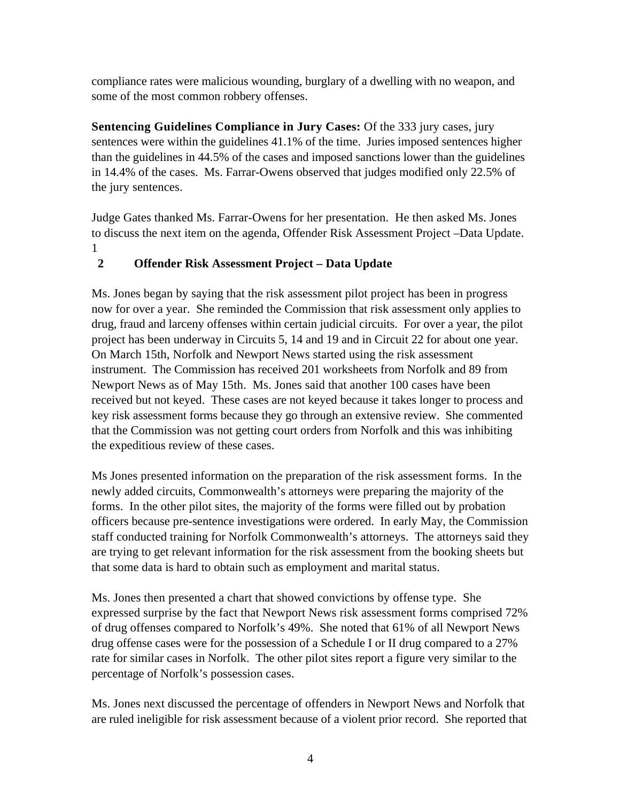compliance rates were malicious wounding, burglary of a dwelling with no weapon, and some of the most common robbery offenses.

**Sentencing Guidelines Compliance in Jury Cases:** Of the 333 jury cases, jury sentences were within the guidelines 41.1% of the time. Juries imposed sentences higher than the guidelines in 44.5% of the cases and imposed sanctions lower than the guidelines in 14.4% of the cases. Ms. Farrar-Owens observed that judges modified only 22.5% of the jury sentences.

Judge Gates thanked Ms. Farrar-Owens for her presentation. He then asked Ms. Jones to discuss the next item on the agenda, Offender Risk Assessment Project –Data Update. 1

# **2 Offender Risk Assessment Project – Data Update**

Ms. Jones began by saying that the risk assessment pilot project has been in progress now for over a year. She reminded the Commission that risk assessment only applies to drug, fraud and larceny offenses within certain judicial circuits. For over a year, the pilot project has been underway in Circuits 5, 14 and 19 and in Circuit 22 for about one year. On March 15th, Norfolk and Newport News started using the risk assessment instrument. The Commission has received 201 worksheets from Norfolk and 89 from Newport News as of May 15th. Ms. Jones said that another 100 cases have been received but not keyed. These cases are not keyed because it takes longer to process and key risk assessment forms because they go through an extensive review. She commented that the Commission was not getting court orders from Norfolk and this was inhibiting the expeditious review of these cases.

Ms Jones presented information on the preparation of the risk assessment forms. In the newly added circuits, Commonwealth's attorneys were preparing the majority of the forms. In the other pilot sites, the majority of the forms were filled out by probation officers because pre-sentence investigations were ordered. In early May, the Commission staff conducted training for Norfolk Commonwealth's attorneys. The attorneys said they are trying to get relevant information for the risk assessment from the booking sheets but that some data is hard to obtain such as employment and marital status.

Ms. Jones then presented a chart that showed convictions by offense type. She expressed surprise by the fact that Newport News risk assessment forms comprised 72% of drug offenses compared to Norfolk's 49%. She noted that 61% of all Newport News drug offense cases were for the possession of a Schedule I or II drug compared to a 27% rate for similar cases in Norfolk. The other pilot sites report a figure very similar to the percentage of Norfolk's possession cases.

Ms. Jones next discussed the percentage of offenders in Newport News and Norfolk that are ruled ineligible for risk assessment because of a violent prior record. She reported that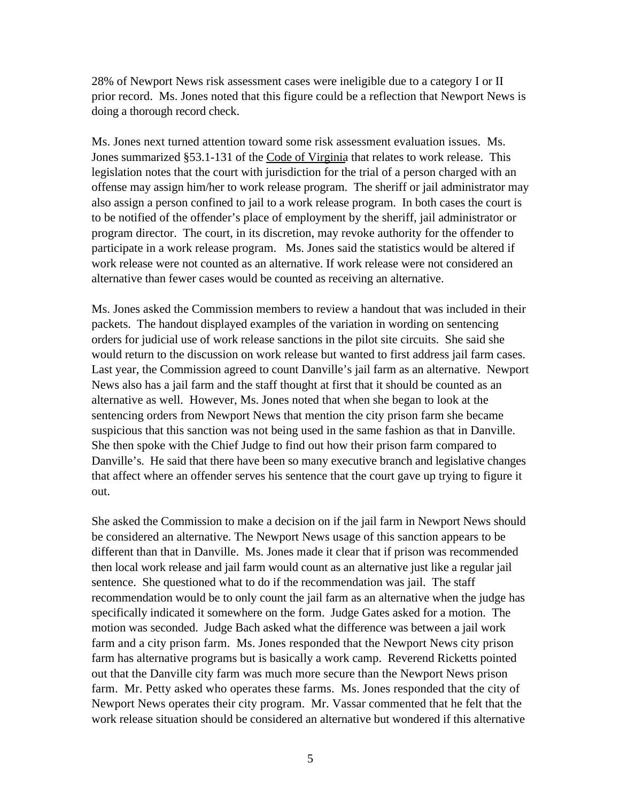28% of Newport News risk assessment cases were ineligible due to a category I or II prior record. Ms. Jones noted that this figure could be a reflection that Newport News is doing a thorough record check.

Ms. Jones next turned attention toward some risk assessment evaluation issues. Ms. Jones summarized §53.1-131 of the Code of Virginia that relates to work release. This legislation notes that the court with jurisdiction for the trial of a person charged with an offense may assign him/her to work release program. The sheriff or jail administrator may also assign a person confined to jail to a work release program. In both cases the court is to be notified of the offender's place of employment by the sheriff, jail administrator or program director. The court, in its discretion, may revoke authority for the offender to participate in a work release program. Ms. Jones said the statistics would be altered if work release were not counted as an alternative. If work release were not considered an alternative than fewer cases would be counted as receiving an alternative.

Ms. Jones asked the Commission members to review a handout that was included in their packets. The handout displayed examples of the variation in wording on sentencing orders for judicial use of work release sanctions in the pilot site circuits. She said she would return to the discussion on work release but wanted to first address jail farm cases. Last year, the Commission agreed to count Danville's jail farm as an alternative. Newport News also has a jail farm and the staff thought at first that it should be counted as an alternative as well. However, Ms. Jones noted that when she began to look at the sentencing orders from Newport News that mention the city prison farm she became suspicious that this sanction was not being used in the same fashion as that in Danville. She then spoke with the Chief Judge to find out how their prison farm compared to Danville's. He said that there have been so many executive branch and legislative changes that affect where an offender serves his sentence that the court gave up trying to figure it out.

She asked the Commission to make a decision on if the jail farm in Newport News should be considered an alternative. The Newport News usage of this sanction appears to be different than that in Danville. Ms. Jones made it clear that if prison was recommended then local work release and jail farm would count as an alternative just like a regular jail sentence. She questioned what to do if the recommendation was jail. The staff recommendation would be to only count the jail farm as an alternative when the judge has specifically indicated it somewhere on the form. Judge Gates asked for a motion. The motion was seconded. Judge Bach asked what the difference was between a jail work farm and a city prison farm. Ms. Jones responded that the Newport News city prison farm has alternative programs but is basically a work camp. Reverend Ricketts pointed out that the Danville city farm was much more secure than the Newport News prison farm. Mr. Petty asked who operates these farms. Ms. Jones responded that the city of Newport News operates their city program. Mr. Vassar commented that he felt that the work release situation should be considered an alternative but wondered if this alternative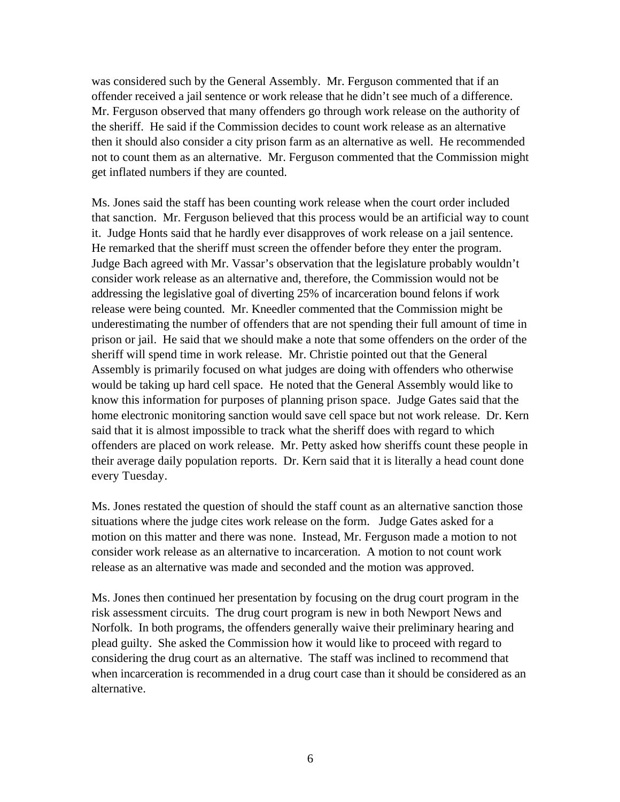was considered such by the General Assembly. Mr. Ferguson commented that if an offender received a jail sentence or work release that he didn't see much of a difference. Mr. Ferguson observed that many offenders go through work release on the authority of the sheriff. He said if the Commission decides to count work release as an alternative then it should also consider a city prison farm as an alternative as well. He recommended not to count them as an alternative. Mr. Ferguson commented that the Commission might get inflated numbers if they are counted.

Ms. Jones said the staff has been counting work release when the court order included that sanction. Mr. Ferguson believed that this process would be an artificial way to count it. Judge Honts said that he hardly ever disapproves of work release on a jail sentence. He remarked that the sheriff must screen the offender before they enter the program. Judge Bach agreed with Mr. Vassar's observation that the legislature probably wouldn't consider work release as an alternative and, therefore, the Commission would not be addressing the legislative goal of diverting 25% of incarceration bound felons if work release were being counted. Mr. Kneedler commented that the Commission might be underestimating the number of offenders that are not spending their full amount of time in prison or jail. He said that we should make a note that some offenders on the order of the sheriff will spend time in work release. Mr. Christie pointed out that the General Assembly is primarily focused on what judges are doing with offenders who otherwise would be taking up hard cell space. He noted that the General Assembly would like to know this information for purposes of planning prison space. Judge Gates said that the home electronic monitoring sanction would save cell space but not work release. Dr. Kern said that it is almost impossible to track what the sheriff does with regard to which offenders are placed on work release. Mr. Petty asked how sheriffs count these people in their average daily population reports. Dr. Kern said that it is literally a head count done every Tuesday.

Ms. Jones restated the question of should the staff count as an alternative sanction those situations where the judge cites work release on the form. Judge Gates asked for a motion on this matter and there was none. Instead, Mr. Ferguson made a motion to not consider work release as an alternative to incarceration. A motion to not count work release as an alternative was made and seconded and the motion was approved.

Ms. Jones then continued her presentation by focusing on the drug court program in the risk assessment circuits. The drug court program is new in both Newport News and Norfolk. In both programs, the offenders generally waive their preliminary hearing and plead guilty. She asked the Commission how it would like to proceed with regard to considering the drug court as an alternative. The staff was inclined to recommend that when incarceration is recommended in a drug court case than it should be considered as an alternative.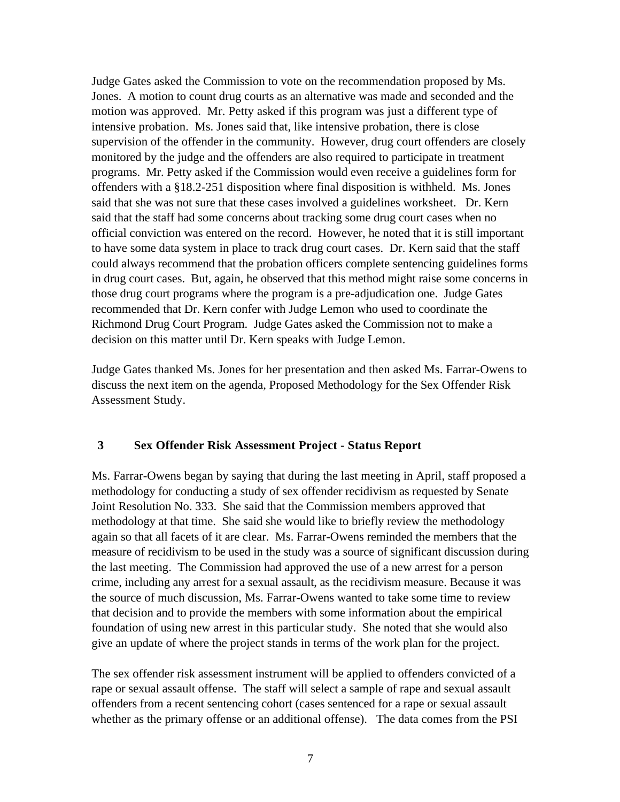Judge Gates asked the Commission to vote on the recommendation proposed by Ms. Jones. A motion to count drug courts as an alternative was made and seconded and the motion was approved. Mr. Petty asked if this program was just a different type of intensive probation. Ms. Jones said that, like intensive probation, there is close supervision of the offender in the community. However, drug court offenders are closely monitored by the judge and the offenders are also required to participate in treatment programs. Mr. Petty asked if the Commission would even receive a guidelines form for offenders with a §18.2-251 disposition where final disposition is withheld. Ms. Jones said that she was not sure that these cases involved a guidelines worksheet. Dr. Kern said that the staff had some concerns about tracking some drug court cases when no official conviction was entered on the record. However, he noted that it is still important to have some data system in place to track drug court cases. Dr. Kern said that the staff could always recommend that the probation officers complete sentencing guidelines forms in drug court cases. But, again, he observed that this method might raise some concerns in those drug court programs where the program is a pre-adjudication one. Judge Gates recommended that Dr. Kern confer with Judge Lemon who used to coordinate the Richmond Drug Court Program. Judge Gates asked the Commission not to make a decision on this matter until Dr. Kern speaks with Judge Lemon.

Judge Gates thanked Ms. Jones for her presentation and then asked Ms. Farrar-Owens to discuss the next item on the agenda, Proposed Methodology for the Sex Offender Risk Assessment Study.

#### **3 Sex Offender Risk Assessment Project - Status Report**

Ms. Farrar-Owens began by saying that during the last meeting in April, staff proposed a methodology for conducting a study of sex offender recidivism as requested by Senate Joint Resolution No. 333. She said that the Commission members approved that methodology at that time. She said she would like to briefly review the methodology again so that all facets of it are clear. Ms. Farrar-Owens reminded the members that the measure of recidivism to be used in the study was a source of significant discussion during the last meeting. The Commission had approved the use of a new arrest for a person crime, including any arrest for a sexual assault, as the recidivism measure. Because it was the source of much discussion, Ms. Farrar-Owens wanted to take some time to review that decision and to provide the members with some information about the empirical foundation of using new arrest in this particular study. She noted that she would also give an update of where the project stands in terms of the work plan for the project.

The sex offender risk assessment instrument will be applied to offenders convicted of a rape or sexual assault offense. The staff will select a sample of rape and sexual assault offenders from a recent sentencing cohort (cases sentenced for a rape or sexual assault whether as the primary offense or an additional offense). The data comes from the PSI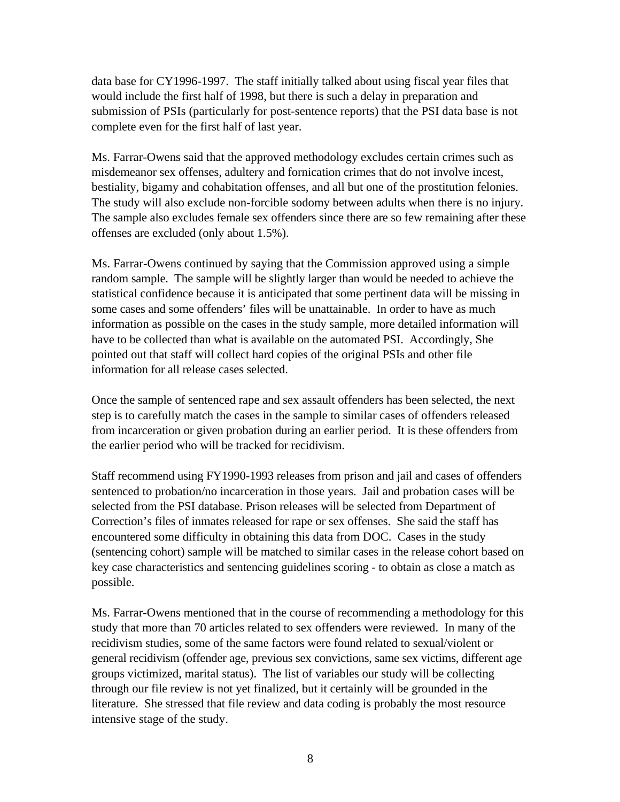data base for CY1996-1997. The staff initially talked about using fiscal year files that would include the first half of 1998, but there is such a delay in preparation and submission of PSIs (particularly for post-sentence reports) that the PSI data base is not complete even for the first half of last year.

Ms. Farrar-Owens said that the approved methodology excludes certain crimes such as misdemeanor sex offenses, adultery and fornication crimes that do not involve incest, bestiality, bigamy and cohabitation offenses, and all but one of the prostitution felonies. The study will also exclude non-forcible sodomy between adults when there is no injury. The sample also excludes female sex offenders since there are so few remaining after these offenses are excluded (only about 1.5%).

Ms. Farrar-Owens continued by saying that the Commission approved using a simple random sample. The sample will be slightly larger than would be needed to achieve the statistical confidence because it is anticipated that some pertinent data will be missing in some cases and some offenders' files will be unattainable. In order to have as much information as possible on the cases in the study sample, more detailed information will have to be collected than what is available on the automated PSI. Accordingly, She pointed out that staff will collect hard copies of the original PSIs and other file information for all release cases selected.

Once the sample of sentenced rape and sex assault offenders has been selected, the next step is to carefully match the cases in the sample to similar cases of offenders released from incarceration or given probation during an earlier period. It is these offenders from the earlier period who will be tracked for recidivism.

Staff recommend using FY1990-1993 releases from prison and jail and cases of offenders sentenced to probation/no incarceration in those years. Jail and probation cases will be selected from the PSI database. Prison releases will be selected from Department of Correction's files of inmates released for rape or sex offenses. She said the staff has encountered some difficulty in obtaining this data from DOC. Cases in the study (sentencing cohort) sample will be matched to similar cases in the release cohort based on key case characteristics and sentencing guidelines scoring - to obtain as close a match as possible.

Ms. Farrar-Owens mentioned that in the course of recommending a methodology for this study that more than 70 articles related to sex offenders were reviewed. In many of the recidivism studies, some of the same factors were found related to sexual/violent or general recidivism (offender age, previous sex convictions, same sex victims, different age groups victimized, marital status). The list of variables our study will be collecting through our file review is not yet finalized, but it certainly will be grounded in the literature. She stressed that file review and data coding is probably the most resource intensive stage of the study.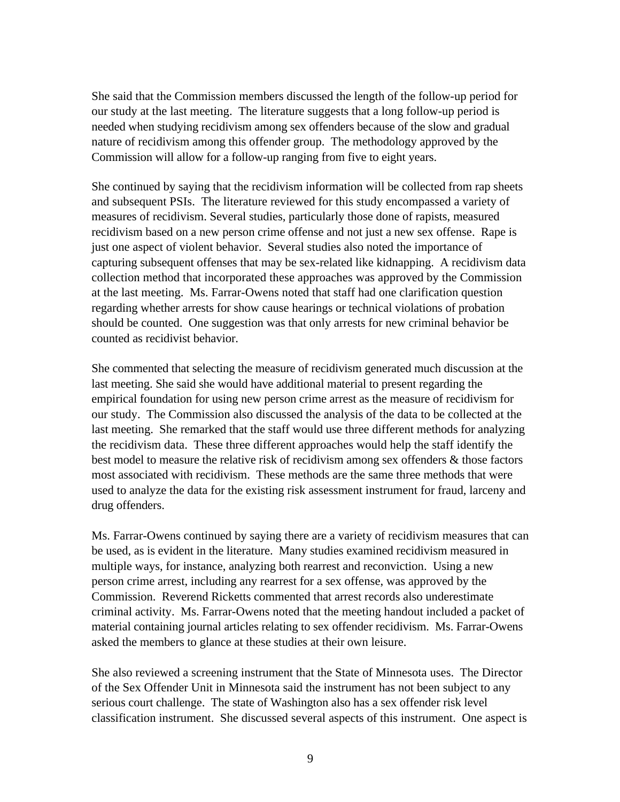She said that the Commission members discussed the length of the follow-up period for our study at the last meeting. The literature suggests that a long follow-up period is needed when studying recidivism among sex offenders because of the slow and gradual nature of recidivism among this offender group. The methodology approved by the Commission will allow for a follow-up ranging from five to eight years.

She continued by saying that the recidivism information will be collected from rap sheets and subsequent PSIs. The literature reviewed for this study encompassed a variety of measures of recidivism. Several studies, particularly those done of rapists, measured recidivism based on a new person crime offense and not just a new sex offense. Rape is just one aspect of violent behavior. Several studies also noted the importance of capturing subsequent offenses that may be sex-related like kidnapping. A recidivism data collection method that incorporated these approaches was approved by the Commission at the last meeting. Ms. Farrar-Owens noted that staff had one clarification question regarding whether arrests for show cause hearings or technical violations of probation should be counted. One suggestion was that only arrests for new criminal behavior be counted as recidivist behavior.

She commented that selecting the measure of recidivism generated much discussion at the last meeting. She said she would have additional material to present regarding the empirical foundation for using new person crime arrest as the measure of recidivism for our study. The Commission also discussed the analysis of the data to be collected at the last meeting. She remarked that the staff would use three different methods for analyzing the recidivism data. These three different approaches would help the staff identify the best model to measure the relative risk of recidivism among sex offenders & those factors most associated with recidivism. These methods are the same three methods that were used to analyze the data for the existing risk assessment instrument for fraud, larceny and drug offenders.

Ms. Farrar-Owens continued by saying there are a variety of recidivism measures that can be used, as is evident in the literature. Many studies examined recidivism measured in multiple ways, for instance, analyzing both rearrest and reconviction. Using a new person crime arrest, including any rearrest for a sex offense, was approved by the Commission. Reverend Ricketts commented that arrest records also underestimate criminal activity. Ms. Farrar-Owens noted that the meeting handout included a packet of material containing journal articles relating to sex offender recidivism. Ms. Farrar-Owens asked the members to glance at these studies at their own leisure.

She also reviewed a screening instrument that the State of Minnesota uses. The Director of the Sex Offender Unit in Minnesota said the instrument has not been subject to any serious court challenge. The state of Washington also has a sex offender risk level classification instrument. She discussed several aspects of this instrument. One aspect is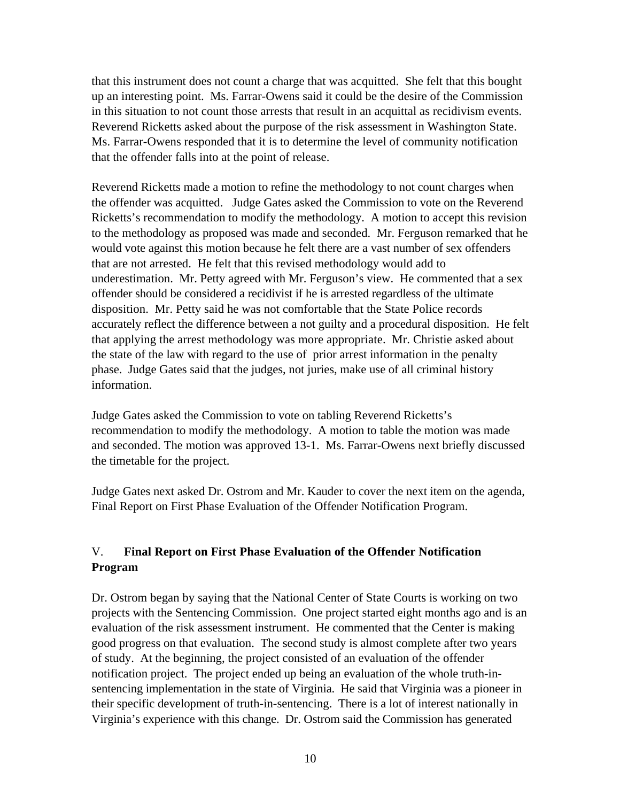that this instrument does not count a charge that was acquitted. She felt that this bought up an interesting point. Ms. Farrar-Owens said it could be the desire of the Commission in this situation to not count those arrests that result in an acquittal as recidivism events. Reverend Ricketts asked about the purpose of the risk assessment in Washington State. Ms. Farrar-Owens responded that it is to determine the level of community notification that the offender falls into at the point of release.

Reverend Ricketts made a motion to refine the methodology to not count charges when the offender was acquitted. Judge Gates asked the Commission to vote on the Reverend Ricketts's recommendation to modify the methodology. A motion to accept this revision to the methodology as proposed was made and seconded. Mr. Ferguson remarked that he would vote against this motion because he felt there are a vast number of sex offenders that are not arrested. He felt that this revised methodology would add to underestimation. Mr. Petty agreed with Mr. Ferguson's view. He commented that a sex offender should be considered a recidivist if he is arrested regardless of the ultimate disposition. Mr. Petty said he was not comfortable that the State Police records accurately reflect the difference between a not guilty and a procedural disposition. He felt that applying the arrest methodology was more appropriate. Mr. Christie asked about the state of the law with regard to the use of prior arrest information in the penalty phase. Judge Gates said that the judges, not juries, make use of all criminal history information.

Judge Gates asked the Commission to vote on tabling Reverend Ricketts's recommendation to modify the methodology. A motion to table the motion was made and seconded. The motion was approved 13-1. Ms. Farrar-Owens next briefly discussed the timetable for the project.

Judge Gates next asked Dr. Ostrom and Mr. Kauder to cover the next item on the agenda, Final Report on First Phase Evaluation of the Offender Notification Program.

# V. **Final Report on First Phase Evaluation of the Offender Notification Program**

Dr. Ostrom began by saying that the National Center of State Courts is working on two projects with the Sentencing Commission. One project started eight months ago and is an evaluation of the risk assessment instrument. He commented that the Center is making good progress on that evaluation. The second study is almost complete after two years of study. At the beginning, the project consisted of an evaluation of the offender notification project. The project ended up being an evaluation of the whole truth-insentencing implementation in the state of Virginia. He said that Virginia was a pioneer in their specific development of truth-in-sentencing. There is a lot of interest nationally in Virginia's experience with this change. Dr. Ostrom said the Commission has generated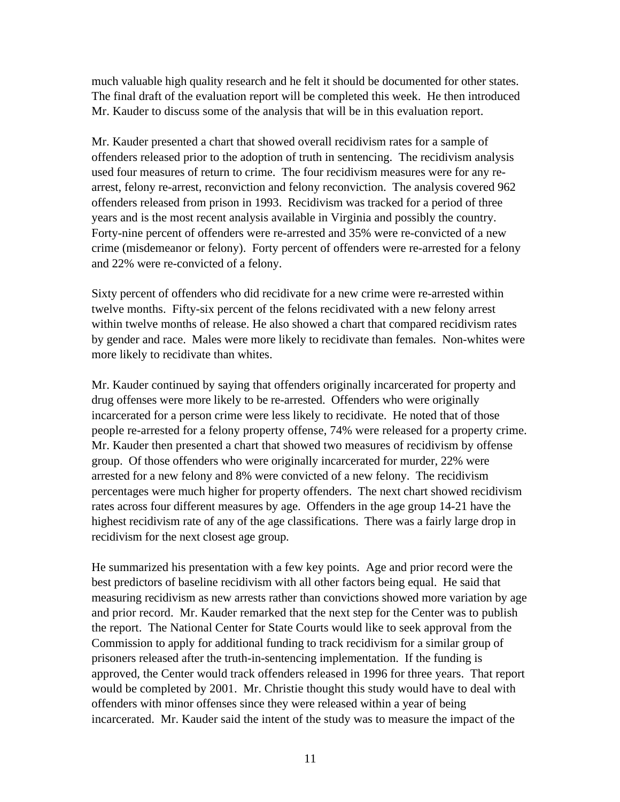much valuable high quality research and he felt it should be documented for other states. The final draft of the evaluation report will be completed this week. He then introduced Mr. Kauder to discuss some of the analysis that will be in this evaluation report.

Mr. Kauder presented a chart that showed overall recidivism rates for a sample of offenders released prior to the adoption of truth in sentencing. The recidivism analysis used four measures of return to crime. The four recidivism measures were for any rearrest, felony re-arrest, reconviction and felony reconviction. The analysis covered 962 offenders released from prison in 1993. Recidivism was tracked for a period of three years and is the most recent analysis available in Virginia and possibly the country. Forty-nine percent of offenders were re-arrested and 35% were re-convicted of a new crime (misdemeanor or felony). Forty percent of offenders were re-arrested for a felony and 22% were re-convicted of a felony.

Sixty percent of offenders who did recidivate for a new crime were re-arrested within twelve months. Fifty-six percent of the felons recidivated with a new felony arrest within twelve months of release. He also showed a chart that compared recidivism rates by gender and race. Males were more likely to recidivate than females. Non-whites were more likely to recidivate than whites.

Mr. Kauder continued by saying that offenders originally incarcerated for property and drug offenses were more likely to be re-arrested. Offenders who were originally incarcerated for a person crime were less likely to recidivate. He noted that of those people re-arrested for a felony property offense, 74% were released for a property crime. Mr. Kauder then presented a chart that showed two measures of recidivism by offense group. Of those offenders who were originally incarcerated for murder, 22% were arrested for a new felony and 8% were convicted of a new felony. The recidivism percentages were much higher for property offenders. The next chart showed recidivism rates across four different measures by age. Offenders in the age group 14-21 have the highest recidivism rate of any of the age classifications. There was a fairly large drop in recidivism for the next closest age group.

He summarized his presentation with a few key points. Age and prior record were the best predictors of baseline recidivism with all other factors being equal. He said that measuring recidivism as new arrests rather than convictions showed more variation by age and prior record. Mr. Kauder remarked that the next step for the Center was to publish the report. The National Center for State Courts would like to seek approval from the Commission to apply for additional funding to track recidivism for a similar group of prisoners released after the truth-in-sentencing implementation. If the funding is approved, the Center would track offenders released in 1996 for three years. That report would be completed by 2001. Mr. Christie thought this study would have to deal with offenders with minor offenses since they were released within a year of being incarcerated. Mr. Kauder said the intent of the study was to measure the impact of the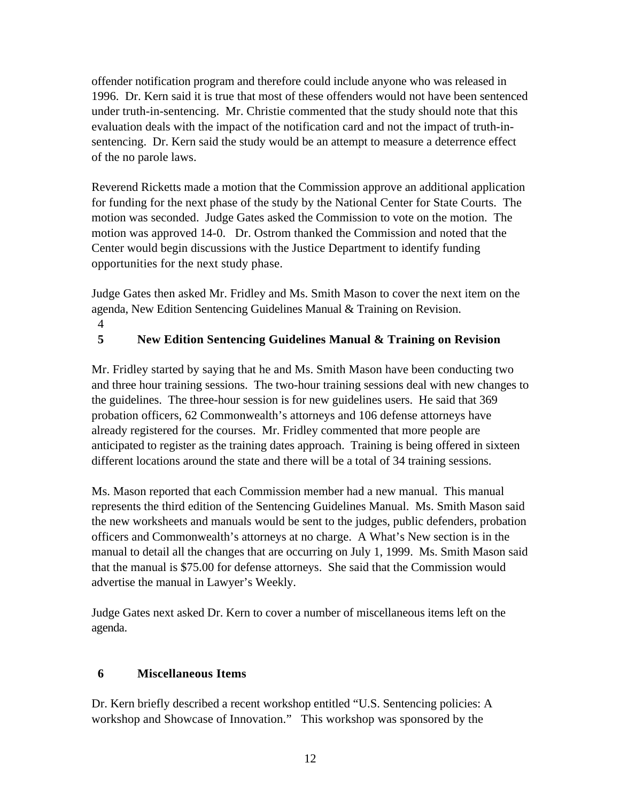offender notification program and therefore could include anyone who was released in 1996. Dr. Kern said it is true that most of these offenders would not have been sentenced under truth-in-sentencing. Mr. Christie commented that the study should note that this evaluation deals with the impact of the notification card and not the impact of truth-insentencing. Dr. Kern said the study would be an attempt to measure a deterrence effect of the no parole laws.

Reverend Ricketts made a motion that the Commission approve an additional application for funding for the next phase of the study by the National Center for State Courts. The motion was seconded. Judge Gates asked the Commission to vote on the motion. The motion was approved 14-0. Dr. Ostrom thanked the Commission and noted that the Center would begin discussions with the Justice Department to identify funding opportunities for the next study phase.

Judge Gates then asked Mr. Fridley and Ms. Smith Mason to cover the next item on the agenda, New Edition Sentencing Guidelines Manual & Training on Revision. 4

## **5 New Edition Sentencing Guidelines Manual & Training on Revision**

Mr. Fridley started by saying that he and Ms. Smith Mason have been conducting two and three hour training sessions. The two-hour training sessions deal with new changes to the guidelines. The three-hour session is for new guidelines users. He said that 369 probation officers, 62 Commonwealth's attorneys and 106 defense attorneys have already registered for the courses. Mr. Fridley commented that more people are anticipated to register as the training dates approach. Training is being offered in sixteen different locations around the state and there will be a total of 34 training sessions.

Ms. Mason reported that each Commission member had a new manual. This manual represents the third edition of the Sentencing Guidelines Manual. Ms. Smith Mason said the new worksheets and manuals would be sent to the judges, public defenders, probation officers and Commonwealth's attorneys at no charge. A What's New section is in the manual to detail all the changes that are occurring on July 1, 1999. Ms. Smith Mason said that the manual is \$75.00 for defense attorneys. She said that the Commission would advertise the manual in Lawyer's Weekly.

Judge Gates next asked Dr. Kern to cover a number of miscellaneous items left on the agenda.

#### **6 Miscellaneous Items**

Dr. Kern briefly described a recent workshop entitled "U.S. Sentencing policies: A workshop and Showcase of Innovation." This workshop was sponsored by the